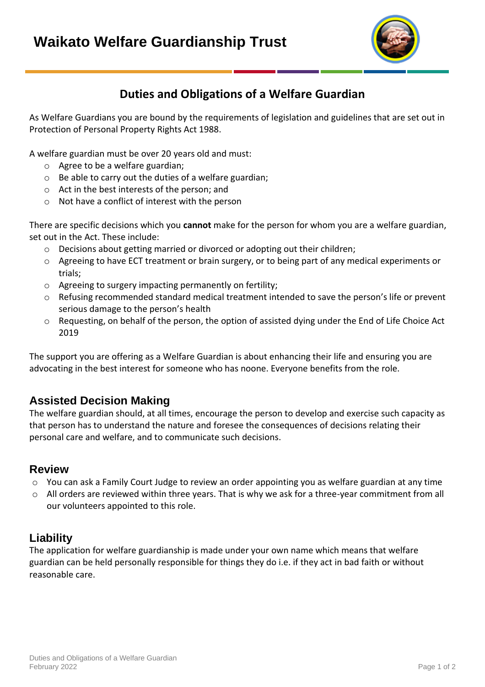

# **Duties and Obligations of a Welfare Guardian**

As Welfare Guardians you are bound by the requirements of legislation and guidelines that are set out in Protection of Personal Property Rights Act 1988.

A welfare guardian must be over 20 years old and must:

- o Agree to be a welfare guardian;
- o Be able to carry out the duties of a welfare guardian;
- o Act in the best interests of the person; and
- o Not have a conflict of interest with the person

There are specific decisions which you **cannot** make for the person for whom you are a welfare guardian, set out in the Act. These include:

- $\circ$  Decisions about getting married or divorced or adopting out their children;
- $\circ$  Agreeing to have ECT treatment or brain surgery, or to being part of any medical experiments or trials;
- o Agreeing to surgery impacting permanently on fertility;
- o Refusing recommended standard medical treatment intended to save the person's life or prevent serious damage to the person's health
- o Requesting, on behalf of the person, the option of assisted dying under the End of Life Choice Act 2019

The support you are offering as a Welfare Guardian is about enhancing their life and ensuring you are advocating in the best interest for someone who has noone. Everyone benefits from the role.

### **Assisted Decision Making**

The welfare guardian should, at all times, encourage the person to develop and exercise such capacity as that person has to understand the nature and foresee the consequences of decisions relating their personal care and welfare, and to communicate such decisions.

#### **Review**

- o You can ask a Family Court Judge to review an order appointing you as welfare guardian at any time
- $\circ$  All orders are reviewed within three years. That is why we ask for a three-year commitment from all our volunteers appointed to this role.

### **Liability**

The application for welfare guardianship is made under your own name which means that welfare guardian can be held personally responsible for things they do i.e. if they act in bad faith or without reasonable care.